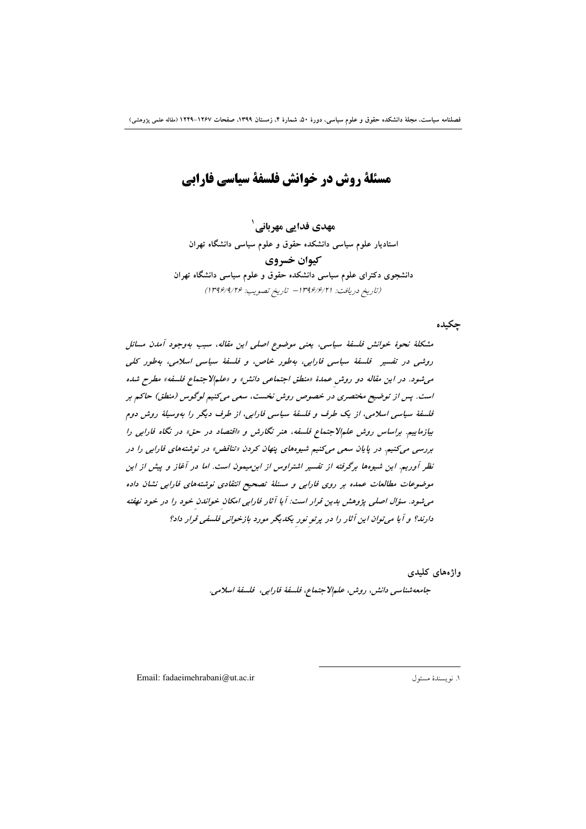مسئلة روش در خوانش فلسفة سياسي فارابي

مهدی فدایی مهربانی ٰ استادیار علوم سیاسی دانشکده حقوق و علوم سیاسی دانشگاه تهران کیوان خسروی دانشجوی دکترای علوم سیاسی دانشکده حقوق و علوم سیاسی دانشگاه تهران (تاريخ دريافت: ١٣٩۶/۶/٢١ - تاريخ تصويب: ١٣٩۶/٩/٢۶)

جكيده

مشكلةٔ نحوهٔ خوانش فلسفةٔ سیاسی، یعنی موضوع اصلی این مقاله، سبب بهوجود آمدن مسائل روشي در تفسير \_ فلسفة سياسي فارابي، بهطور خاص، و فلسفة سياسي اسلامي، بهطور كلي می شود. در این مقاله دو روش عمدهٔ «منطق اجتماعی دانش» و «علمالاجتماع فلسفه» مطرح شده است. پس از توضیح مختصری در خصوص روش نخست، سعی میکنیم لوگوس (منطق) حاکم بر فلسفهٔ سیاسی اسلامی، از یک طرف و فلسفهٔ سیاسی فارابی، از طرف دیگر را بهوسیلهٔ روش دوم بیازماییم. براساس روش علمالاجتماع فلسفه، هنر نگارش و «اقتصاد در حق» در نگاه فارابی را بررسی میکنیم. در پایان سعی میکنیم شیوههای پنهان کردن «تناقض» در نوشتههای فارابی را در نظر آوریم. این شیوه ها برگرفته از تفسیر اشتراوس از ابن میمون است. اما در آغاز و پیش از این موضوعات مطالعات عمده بر روى فارابى و مسئلة تصحيح انتقادى نوشتههاى فارابى نشان داده می شود. سؤال اصلی پژوهش بدین قرار است: آیا آثار فارابی امکان خواندن خود را در خود نهفته دارند؟ و آ یا می توان این آثار را در پرتو نور یکدیگر مورد بازخوانی فلسفی قرار داد؟

> واژەهای كليدى جامعەشناسى دانش، روش، علىمالاجتماع، فلسفة فارابى، فلسفة اسلامى.

Email: fadaeimehrabani@ut.ac.ir

١. نويسندة مسئول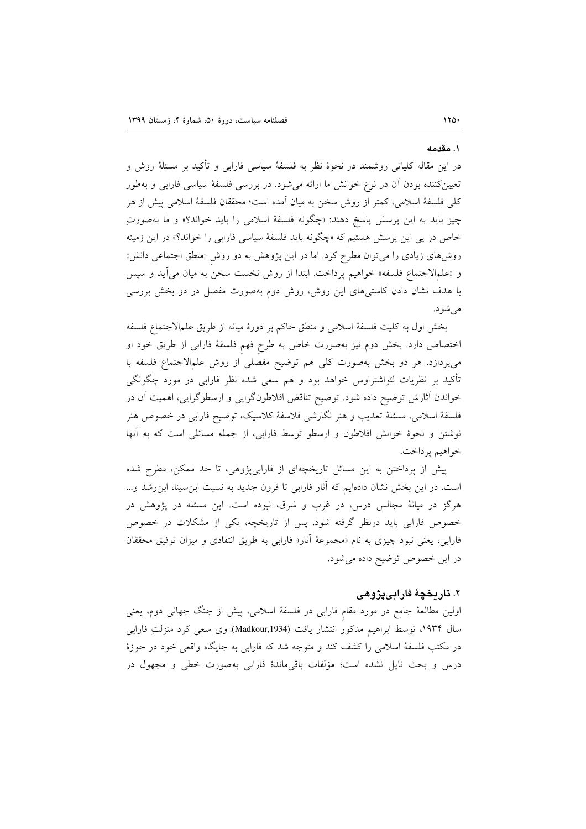#### ۱. مقدمه

در این مقاله کلیاتی روشمند در نحوهٔ نظر به فلسفهٔ سیاسی فارابی و تأکید بر مسئلهٔ روش و تعیینکننده بودن آن در نوع خوانش ما ارائه میشود. در بررسی فلسفهٔ سیاسی فارابی و بهطور كلَّى فلسفة اسلامي، كمتر از روش سخن به ميان آمده است؛ محققان فلسفة اسلامي ييش از هر چيز بايد به اين پرسش پاسخ دهند: «چگونه فلسفهٔ اسلامي را بايد خواند؟» و ما بهصورتِ خاص در پی این پرسش هستیم که «چگونه باید فلسفهٔ سیاسی فارابی را خواند؟» در این زمینه روشهای زیادی را می توان مطرح کرد. اما در این پژوهش به دو روش «منطق اجتماعی دانش» و «علمالاجتماع فلسفه» خواهیم پرداخت. ابتدا از روش نخست سخن به میان میآید و سپس با هدف نشان دادن کاستیهای این روش، روش دوم بهصورت مفصل در دو بخش بررسی می شو د.

بخش اول به كليت فلسفة اسلامي و منطق حاكم بر دورة ميانه از طريق علمالاجتماع فلسفه اختصاص دارد. بخش دوم نیز بهصورت خاص به طرح فهم فلسفهٔ فارابی از طریق خود او می پردازد. هر دو بخش بهصورت کلی هم توضیح مفصلی از روش علمالاجتماع فلسفه با تأکید بر نظریات لئواشتراوس خواهد بود و هم سعی شده نظر فارابی در مورد چگونگی خواندن أثارش توضیح داده شود. توضیح تناقض افلاطونگرایی و ارسطوگرایی، اهمیت اَن در فلسفهٔ اسلامی، مسئلهٔ تعذیب و هنر نگارشی فلاسفهٔ کلاسیک، توضیح فارابی در خصوص هنر نوشتن و نحوهٔ خوانش افلاطون و ارسطو توسط فارابی، از جمله مسائلی است که به آنها خواهيم يرداخت.

پیش از پرداختن به این مسائل تاریخچهای از فارابیپژوهی، تا حد ممکن، مطرح شده است. در این بخش نشان دادهایم که آثار فارابی تا قرون جدید به نسبت ابن سینا، ابن رشد و... هرگز در میانهٔ مجالس درس، در غرب و شرق، نبوده است. این مسئله در پژوهش در خصوص فارابی باید درنظر گرفته شود. پس از تاریخچه، یکی از مشکلات در خصوص فارابی، یعنی نبود چیزی به نام «مجموعهٔ آثار» فارابی به طریق انتقادی و میزان توفیق محققان در این خصوص توضیح داده می شود.

## ۲. تاریخچهٔ فارابییژوهی

اولین مطالعهٔ جامع در مورد مقام فارابی در فلسفهٔ اسلامی، پیش از جنگ جهانی دوم، یعنی سال ۱۹۳۴، توسط ابراهیم مدکور انتشار یافت (Madkour,1934). وی سعی کرد منزلتِ فارابی در مکتب فلسفهٔ اسلامی را کشف کند و متوجه شد که فارابی به جایگاه واقعی خود در حوزهٔ درس و بحث نایل نشده است؛ مؤلفات باقیماندهٔ فارابی بهصورت خطی و مجهول در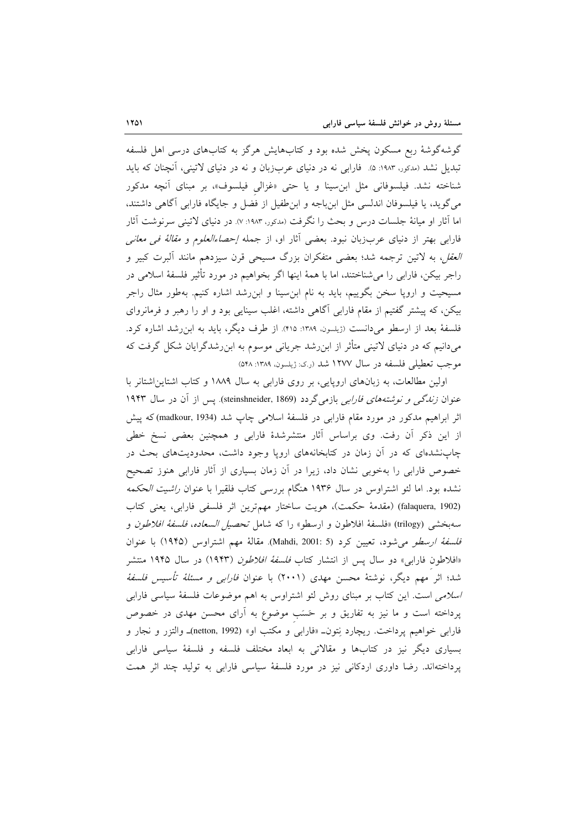گوشهگوشهٔ ربع مسکون پخش شده بود و کتابهایش هرگز به کتابهای درسی اهل فلسفه تبدیل نشد (مدکور، ۱۹۸۳: ۵). فارابی نه در دنیای عربزبان و نه در دنیای لاتینی، آنچنان که باید شناخته نشد. فیلسوفانی مثل ابن سینا و یا حتی «غزالی فیلسوف»، بر مبنای آنچه مدکور می گوید، یا فیلسوفان اندلسی مثل ابن باجه و ابن طفیل از فضل و جایگاه فارابی آگاهی داشتند، اما آثار او میانهٔ جلسات درس و بحث را نگرفت (مدکور، ۱۹۸۳: ۷). در دنیای لاتینی سرنوشت آثار فارابی بهتر از دنیای عربزبان نبود. بعضی آثار او، از جمله *إحصاءالعلوم و مقالهٔ فی معانی العقل،* به لاتین ترجمه شد؛ بعضی متفکران بزرگ مسیحی قرن سیزدهم مانند آلبرت کبیر و راجر بيكن، فارابي را مي شناختند، اما با همهٔ اينها اگر بخواهيم در مورد تأثير فلسفهٔ اسلامي در مسیحیت و اروپا سخن بگوییم، باید به نام ابنِسینا و ابنِرشد اشاره کنیم. بهطور مثال راجر بیکن، که پیشتر گفتیم از مقام فارابی آگاهی داشته، اغلب سینایی بود و او را رهبر و فرمانروای فلسفهٔ بعد از ارسطو میدانست (ژیلسون، ۱۳۸۹: ۴۱۵). از طرف دیگر، باید به ابن رشد اشاره کرد. میدانیم که در دنیای لاتینی متأثر از ابنِ رشد جریانی موسوم به ابنِ رشدگرایان شکل گرفت که موجب تعطیلی فلسفه در سال ۱۲۷۷ شد (ر.ک: ژیلسون، ۱۳۸۹: ۵۴۸)

اولین مطالعات، به زبانهای اروپایی، بر روی فارابی به سال ۱۸۸۹ و کتاب اشتاین اشتانر با عنوان *زندگ<sub>ی</sub> و نوشتههای فارابی* بازمیگردد (steinshneider, 1869). پس از آن در سال ۱۹۴۳ اثر ابراهیم مدکور در مورد مقام فارابی در فلسفهٔ اسلامی چاپ شد (madkour, 1934) که پیش از این ذکر آن رفت. وی براساس آثار منتشرشدهٔ فارابی و همچنین بعضی نسخ خطی چاپنشدهای که در آن زمان در کتابخانههای اروپا وجود داشت، محدودیتهای بحث در خصوص فارابی را بهخوبی نشان داد، زیرا در آن زمان بسیاری از آثار فارابی هنوز تصحیح نشده بود. اما لئو اشتراوس در سال ۱۹۳۶ هنگام بررسی کتاب فلقیرا با عنوان *راشیت الحکمه* (falaquera, 1902) (مقدمة حكمت)، هويت ساختار مهمترين اثر فلسفى فارابي، يعني كتاب سهبخشي (trilogy) «فلسفة افلاطون و ارسطو» را كه شامل *تحصيل السعاده، فلسفة افلاطون* و فا*سفة ارسطو مى شود،* تعيين كرد (Mahdi, 2001: 5). مقالة مهم اشتراوس (١٩۴۵) با عنوان «افلاطون فارابی» دو سال پس از انتشار کتاب *فلسفهٔ افلاطون* (۱۹۴۳) در سال ۱۹۴۵ منتشر شد؛ اثر مهم دیگر، نوشتهٔ محسن مهدی (۲۰۰۱) با عنوان *فارابی و مسئلهٔ تأسیس فلسفهٔ اسلامی* است. این کتاب بر مبنای روش لئو اشتراوس به اهم موضوعات فلسفهٔ سیاسی فارابی پرداخته است و ما نیز به تفاریق و بر خَسَب موضوع به آرای محسن مهدی در خصوص فارابي خواهيم پرداخت. ريچارد نِتون\_ «فارابي و مكتب او» (netton, 1992)ـ والتزر و نجار و بسیاری دیگر نیز در کتابها و مقالاتی به ابعاد مختلف فلسفه و فلسفهٔ سیاسی فارابی پرداختهاند. رضا داوری اردکانی نیز در مورد فلسفهٔ سیاسی فارابی به تولید چند اثر همت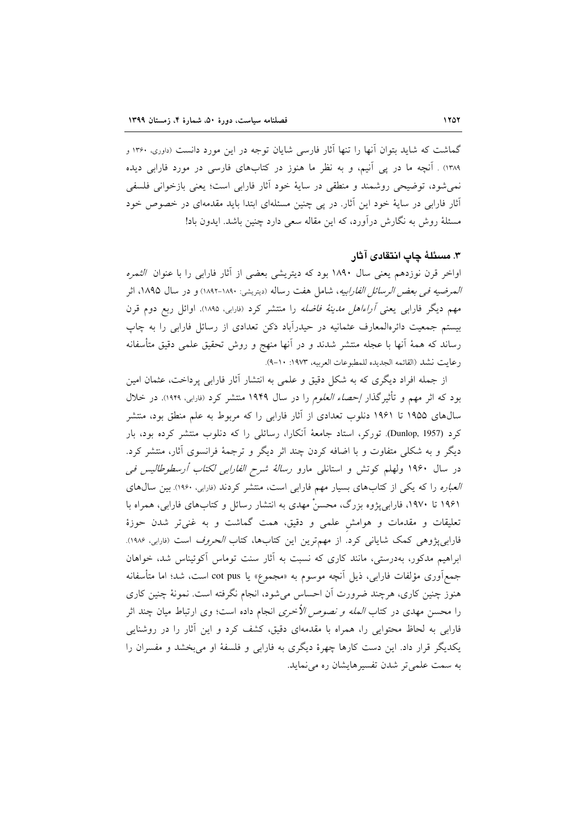گماشت که شاید بتوان آنها را تنها آثار فارسی شایان توجه در این مورد دانست (داوری، ۱۳۶۰ و ۱۳۸۹) . آنچه ما در یی آنیم، و به نظر ما هنوز در کتابهای فارسی در مورد فارابی دیده نم شود، توضیحی روشمند و منطقی در سایهٔ خود آثار فارابی است؛ یعنی بازخوانی فلسفی آثار فارابی در سایهٔ خود این آثار. در یی چنین مسئلهای ابتدا باید مقدمهای در خصوص خود مسئلهٔ روش به نگارش درآورد، که این مقاله سعی دارد چنین باشد. ایدون باد!

## ٣. مسئلهٔ چاپ انتقادی آثار

اواخر قرن نوزدهم یعنی سال ۱۸۹۰ بود که دیتریشی بعضی از آثار فارابی را با عنوان *الثمره المعرضيه في بعض الرسائل الفارابيه*، شامل هفت رساله (ديتريشي: ١٨٩٠-١٨٩٢) و در سال ١٨٩۵، اثر مهم دیگر فارابی یعنی *آراءاهل مدینهٔ فاضله* را منتشر کرد (فارابی، ۱۸۹۵). اوائل ربع دوم قرن بیستم جمعیت دائرهالمعارف عثمانیه در حیدرآباد دَکن تعدادی از رسائل فارابی را به چاپ رساند که همهٔ اَنها با عجله منتشر شدند و در اَنها منهج و روش تحقیق علمی دقیق متأسفانه رعايت نشد (القائمه الجديده للمطبوعات العربيه، ١٩٧٣: ١٠-٩).

از جمله افراد دیگری که به شکل دقیق و علمی به انتشار آثار فارابی پرداخت، عثمان امین بود که اثر مهم و تأثیرگذار *إحصاء العلوم* را در سال ۱۹۴۹ منتشر کرد (<sub>فارابی</sub>، ۱۹۴۹). در خلال سال های ۱۹۵۵ تا ۱۹۶۱ دنلوب تعدادی از آثار فارابی را که مربوط به علم منطق بود، منتشر کرد (Dunlop, 1957). تورکر، استاد جامعهٔ آنکارا، رسائلی را که دنلوب منتشر کرده بود، بار دیگر و به شکلی متفاوت و با اضافه کردن چند اثر دیگر و ترجمهٔ فرانسوی آثار، منتشر کرد. در سال ۱۹۶۰ ولهلم کوتش و استانلی مارو *رسالهٔ شرح الفارابی لکتاب أرسطوطالیس فی* العباره را كه يكي از كتابهاى بسيار مهم فارابي است، منتشر كردند (فارابي، ١٩۶٠). بين سال هاى ۱۹۶۱ تا ۱۹۷۰، فارابی پژوه بزرگ، محسنْ مهدی به انتشار رسائل و کتابهای فارابی، همراه با تعلیقات و مقدمات و هوامش علمی و دقیق، همت گماشت و به غنیتر شدن حوزهٔ فارابیپژوهی کمک شایانی کرد. از مهمترین این کتابها، کتاب *الحروف* است (<sub>فارابی</sub>، ۱۹۸۶). ابراهیم مدکور، بهدرستی، مانند کاری که نسبت به آثار سنت توماس آکوئیناس شد، خواهان جمع آوري مؤلفات فارابي، ذيل آنچه موسوم به «مجموع» يا cot pus است، شد؛ اما متأسفانه هنوز چنین کاری، هرچند ضرورت اّن احساس میشود، انجام نگرفته است. نمونهٔ چنین کاری را محسن مهدی در کتاب *المله و نصوص الأخری* انجام داده است؛ وی ارتباط میان چند اثر فارابی به لحاظ محتوایی را، همراه با مقدمهای دقیق، کشف کرد و این آثار را در روشنایی یکدیگر قرار داد. این دست کارها چهرهٔ دیگری به فارابی و فلسفهٔ او میبخشد و مفسران را به سمت علمی تر شدن تفسیرهایشان ره می نماید.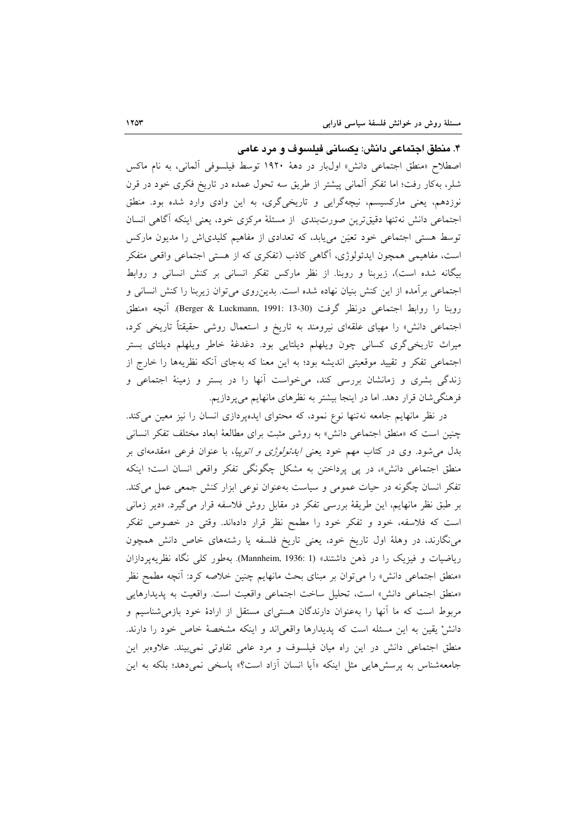۴. منطق اجتماعی دانش: یکسانی فیلسوف و مرد عامی

اصطلاح «منطق اجتماعی دانش» اولبار در دههٔ ۱۹۲۰ توسط فیلسوفی آلمانی، به نام ماکس شلر، بهکار رفت؛ اما تفکر آلمانی پیشتر از طریق سه تحول عمده در تاریخ فکری خود در قرن نوزدهم، یعنی مارکسیسم، نیچهگرایی و تاریخیگری، به این وادی وارد شده بود. منطق اجتماعی دانش نه تنها دقیق ترین صورتبندی از مسئلهٔ مرکزی خود، یعنی اینکه أگاهی انسان توسط هستی اجتماعی خود تعیَن می،یابد، که تعدادی از مفاهیم کلیدیاش را مدیون مارکس است، مفاهیمی همچون ایدئولوژی، آگاهی کاذب (تفکری که از هستی اجتماعی واقعی متفکر بیگانه شده است)، زیربنا و روبنا. از نظر مارکس تفکر انسانی بر کنش انسانی و روابط اجتماعی برآمده از این کنش بنیان نهاده شده است. بدین روی می توان زیربنا را کنش انسانی و روبنا را روابط اجتماعی درنظر گرفت (Berger & Luckmann, 1991: 13-30). آنچه «منطق اجتماعی دانش» را مهیای علقهای نیرومند به تاریخ و استعمال روشی حقیقتاً تاریخی کرد، میراث تاریخیگری کسانی چون ویلهلم دیلتایی بود. دغدغهٔ خاطر ویلهلم دیلتای بستر اجتماعی تفکر و تقیید موقعیتی اندیشه بود؛ به این معنا که بهجای آنکه نظریهها را خارج از زندگی بشری و زمانشان بررسی کند، میخواست آنها را در بستر و زمینهٔ اجتماعی و فرهنگیشان قرار دهد. اما در اینجا بیشتر به نظرهای مانهایم میپردازیم.

در نظر مانهایم جامعه نهتنها نوع نمود، که محتوای ایدهپردازی انسان را نیز معین می کند. چنین است که «منطق اجتماعی دانش» به روشی مثبت برای مطالعهٔ ابعاد مختلف تفکر انسانی بدل میشود. وی در کتاب مهم خود یعنی *ایدئولوژی و اتوپیا*، با عنوان فرعی «مقدمهای بر منطق اجتماعی دانش»، در پی پرداختن به مشکل چگونگی تفکر واقعی انسان است؛ اینکه تفکر انسان چگونه در حیات عمومی و سیاست بهعنوان نوعی ابزار کنش جمعی عمل میکند. بر طبق نظر مانهایم، این طریقهٔ بررسی تفکر در مقابل روش فلاسفه قرار میگیرد. «دیر زمانی است که فلاسفه، خود و تفکر خود را مطمح نظر قرار دادهاند. وقتی در خصوص تفکر مینگارند، در وهلهٔ اول تاریخ خود، یعنی تاریخ فلسفه یا رشتههای خاص دانش همچون ریاضیات و فیزیک را در ذهن داشتند» (Mannheim, 1936: 1). بهطور کلی نگاه نظریهپردازان «منطق اجتماعی دانش» را می توان بر مبنای بحث مانهایم چنین خلاصه کرد: آنچه مطمح نظر «منطق اجتماعي دانش» است، تحليل ساخت اجتماعي واقعيت است. واقعيت به يديدارهايي مربوط است که ما آنها را بهعنوان دارندگان هستیای مستقل از ارادهٔ خود بازمی شناسیم و دانشْ يقين به اين مسئله است كه يديدارها واقعى اند و اينكه مشخصهٔ خاص خود را دارند. منطق اجتماعی دانش در این راه میان فیلسوف و مرد عامی تفاوتی نمی بیند. علاوهبر این جامعهشناس به پرسشهایی مثل اینکه «اَیا انسان اَزاد است؟» یاسخی نمیدهد؛ بلکه به این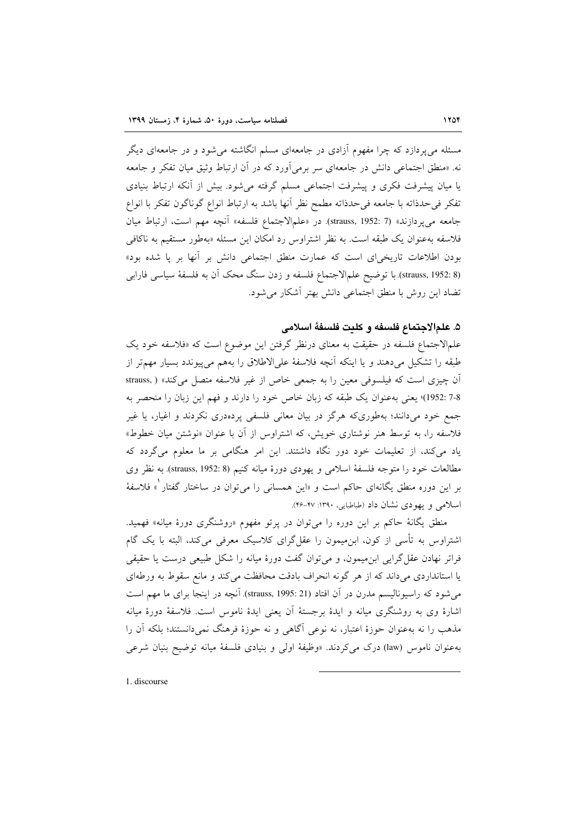مسئله می پردازد که چرا مفهوم آزادی در جامعهای مسلم انگاشته می شود و در جامعهای دیگر نه. «منطق اجتماعی دانش در جامعهای سر برمی[ورد که در آن ارتباط وثبق میان تفکر و جامعه یا میان پیشرفت فکری و پیشرفت اجتماعی مسلم گرفته می شود. بیش از آنکه ارتباط بنیادی تفکر فیحدذاته با جامعه فیحدذاته مطمح نظر آنها باشد به ارتباط انواع گوناگون تفکر با انواع جامعه مي پردازند» (7 :strauss, 1952). در «علمالاجتماع فلسفه» آنچه مهم است، ارتباط ميان فلاسفه به عنوان یک طبقه است. به نظر اشتراوس رد امکان این مسئله «بهطور مستقیم به ناکافی بودن اطلاعات تاریخی ای است که عمارت منطق اجتماعی دانش بر آنها بر یا شده بود» (strauss, 1952: 8) با توضيح علم الاجتماع فلسفه و زدن سنگ محک آن به فلسفهٔ سیاسی فارابی تضاد این روش با منطق اجتماعی دانش بهتر آشکار می شود.

### ۵. علمالاجتماع فلسفه و كليت فلسفهٔ اسلامي

علمالاجتماع فلسفه در حقیقت به معنای درنظر گرفتن این موضوع است که «فلاسفه خود یک طبقه را تشکیل میدهند و یا اینکه آنچه فلاسفهٔ علیالاطلاق را بههم میپیوندد بسیار مهمتر از آن چیزی است که فیلسوفی معین را به جمعی خاص از غیر فلاسفه متصل میکند» ( .strauss 7-8 :1952)؛ يعني بهعنوان يك طبقه كه زبان خاص خود را دارند و فهم اين زبان را منحصر به جمع خود میدانند؛ بهطوریکه هرگز در بیان معانی فلسفی پردهدری نکردند و اغیار، یا غیر فلاسفه را، به توسط هنر نوشتاری خویش، که اشتراوس از آن با عنوان «نوشتن میان خطوط» یاد میکند، از تعلیمات خود دور نگاه داشتند. این امر هنگامی بر ما معلوم میگردد که مطالعات خود را متوجه فلسفة اسلامي و يهودي دورة ميانه كنيم (strauss, 1952: 8). به نظر وي بر این دوره منطق یگانهای حاکم است و «این همسانی را میتوان در ساختار گفتار ْ» فلاسفهٔ اسلامی و یهودی نشان داد (طباطبایی، ۱۳۹۰: ۴۷-۴۶).

منطق یگانهٔ حاکم بر این دوره را میتوان در پرتو مفهوم «روشنگری دورهٔ میانه» فهمید. اشتراوس به تأسی از کون، ابنِ میمون را عقل گرای کلاسیک معرفی میکند، البته با یک گام فراتر نهادن عقل گرایی ابن میمون، و میتوان گفت دورهٔ میانه را شکل طبیعی درست یا حقیقی یا استانداردی می داند که از هر گونه انحراف بادقت محافظت می کند و مانع سقوط به ورطهای می شود که راسیونالیسم مدرن در آن افتاد (strauss, 1995: 21). آنچه در اینجا برای ما مهم است اشارهٔ وی به روشنگری میانه و ایدهٔ برجستهٔ آن یعنی ایدهٔ ناموس است. فلاسفهٔ دورهٔ میانه مذهب را نه بهعنوان حوزهٔ اعتبار، نه نوعی آگاهی و نه حوزهٔ فرهنگ نمی دانستند؛ بلکه آن را بهعنوان ناموس (law) درک میکردند. «وظیفهٔ اولی و بنیادی فلسفهٔ میانه توضیح بنیان شرعی

1. discourse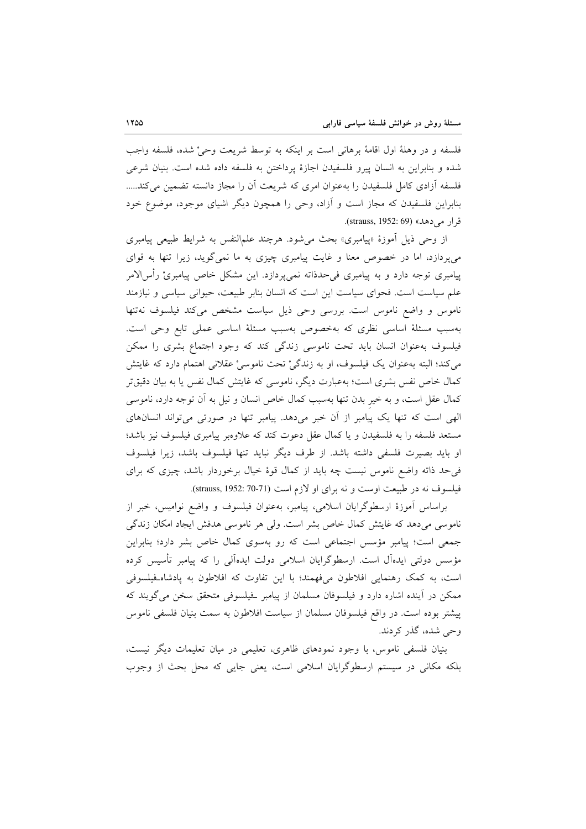فلسفه و در وهلهٔ اول اقامهٔ برهانی است بر اینکه به توسط شریعت وحیْ شده، فلسفه واجب شده و بنابراین به انسان پیرو فلسفیدن اجازهٔ پرداختن به فلسفه داده شده است. بنیان شرعی فلسفه أزادي كامل فلسفيدن را بهعنوان امرى كه شريعت أن را مجاز دانسته تضمين مى كند..... بنابراین فلسفیدن که مجاز است و آزاد، وحی را همچون دیگر اشیای موجود، موضوع خود قرار می دهد» (strauss, 1952: 69).

از وحي ذيل أموزهٔ «پيامبري» بحث مي شود. هرچند علمالنفس به شرايط طبيعي پيامبري می پردازد، اما در خصوص معنا و غایت پیامبری چیزی به ما نمیگوید، زیرا تنها به قوای پیامبری توجه دارد و به پیامبری فی حدذاته نمی پردازد. این مشکل خاص پیامبریْ رأسالامر علم سیاست است. فحوای سیاست این است که انسان بنابر طبیعت، حیوانی سیاسی و نیازمند ناموس و واضع ناموس است. بررسی وحی ذیل سیاست مشخص می کند فیلسوف نهتنها بهسبب مسئلة اساسي نظري كه بهخصوص بهسبب مسئلة اساسي عملي تابع وحي است. فیلسوف بهعنوان انسان باید تحت ناموسی زندگی کند که وجود اجتماع بشری را ممکن می کند؛ البته بهعنوان یک فیلسوف، او به زندگیْ تحت ناموسیْ عقلانی اهتمام دارد که غایتش کمال خاص نفس بشری است؛ بهعبارت دیگر، ناموسی که غایتش کمال نفس یا به بیان دقیق تر كمال عقل است، و به خير بدن تنها بهسبب كمال خاص انسان و نيل به آن توجه دارد، ناموسى الهی است که تنها یک پیامبر از أن خبر میدهد. پیامبر تنها در صورتی میتواند انسانهای مستعد فلسفه را به فلسفيدن و يا كمال عقل دعوت كند كه علاوهبر پيامبرى فيلسوف نيز باشد؛ او بايد بصيرت فلسفى داشته باشد. از طرف ديگر نبايد تنها فيلسوف باشد، زيرا فيلسوف فی حد ذاته واضع ناموس نیست چه باید از کمال قوهٔ خیال برخوردار باشد، چیزی که برای فيلسوف نه در طبيعت اوست و نه براى او لازم است (strauss, 1952: 70-71).

براساس أموزهٔ ارسطوگرایان اسلامی، پیامبر، بهعنوان فیلسوف و واضع نوامیس، خبر از ناموسی میدهد که غایتش کمال خاص بشر است. ولی هر ناموسی هدفش ایجاد امکان زندگی جمعی است؛ پیامبر مؤسس اجتماعی است که رو بهسوی کمال خاص بشر دارد؛ بنابراین مؤسس دولتی ایدهآل است. ارسطوگرایان اسلامی دولت ایدهآلی را که پیامبر تأسیس کرده است، به کمک رهنمایی افلاطون می،فهمند؛ با این تفاوت که افلاطون به یادشاه فیلسوفی ممکن در آینده اشاره دارد و فیلسوفان مسلمان از پیامبر فیلسوفی متحقق سخن میگویند که پیشتر بوده است. در واقع فیلسوفان مسلمان از سیاست افلاطون به سمت بنیان فلسفی ناموس وحي شده، گذر کردند.

بنیان فلسفی ناموس، با وجود نمودهای ظاهری، تعلیمی در میان تعلیمات دیگر نیست، بلکه مکانی در سیستم ارسطوگرایان اسلامی است، یعنی جایی که محل بحث از وجوب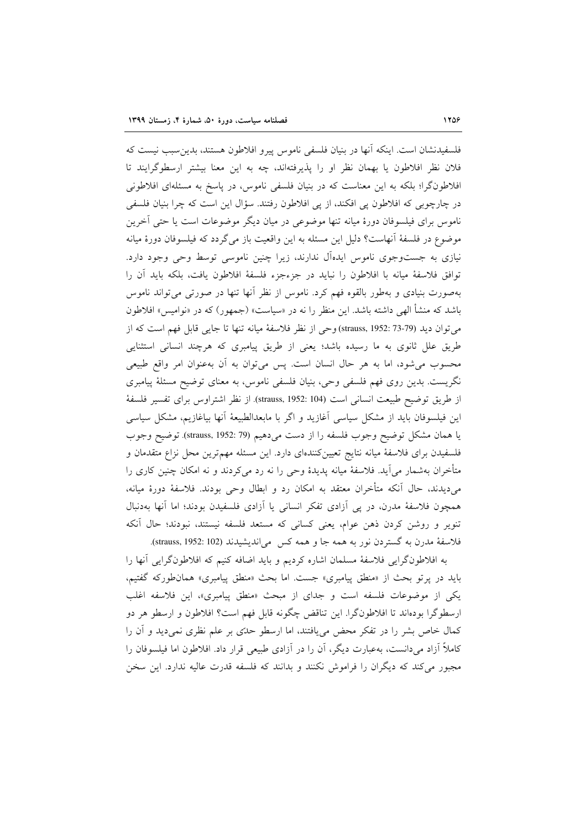فلسفيدنشان است. اينكه آنها در بنيان فلسفى ناموس پيرو افلاطون هستند، بدين سبب نيست كه فلان نظر افلاطون یا بهمان نظر او را پذیرفتهاند، چه به این معنا بیشتر ارسطوگرایند تا افلاطونگرا؛ بلکه به این معناست که در بنیان فلسفی ناموس، در پاسخ به مسئلهای افلاطونی در چارچوبی که افلاطون پی افکند، از پی افلاطون رفتند. سؤال این است که چرا بنیان فلسفی ناموس برای فیلسوفان دورهٔ میانه تنها موضوعی در میان دیگر موضوعات است یا حتبی اَخرین موضوع در فلسفهٔ آنهاست؟ دلیل این مسئله به این واقعیت باز می گردد که فیلسوفان دورهٔ میانه نیازی به جستوجوی ناموس ایدهآل ندارند، زیرا چنین ناموسی توسط وحی وجود دارد. توافق فلاسفهٔ میانه با افلاطون را نباید در جزءجزء فلسفهٔ افلاطون یافت، بلکه باید آن را بهصورت بنیادی و بهطور بالقوه فهم کرد. ناموس از نظر آنها تنها در صورتی میتواند ناموس باشد که منشأ الهی داشته باشد. این منظر را نه در «سیاست» (جمهور) که در «نوامیس» افلاطون مي توان ديد (79-73 :1952 :1952 وحي از نظر فلاسفة ميانه تنها تا جايبي قابل فهم است كه از طریق علل ثانوی به ما رسیده باشد؛ یعنی از طریق پیامبری که هرچند انسانی استثنایی محسوب میشود، اما به هر حال انسان است. پس میتوان به اَن بهعنوان امر واقع طبیعی نگریست. بدین روی فهم فلسفی وحی، بنیان فلسفی ناموس، به معنای توضیح مسئلهٔ پیامبری از طريق توضيح طبيعت انساني است (strauss, 1952: 104). از نظر اشتراوس براي تفسير فلسفة این فیلسوفان باید از مشکل سیاسی آغازید و اگر با مابعدالطبیعهٔ آنها بیاغازیم، مشکل سیاسی يا همان مشكل توضيح وجوب فلسفه را از دست مى دهيم (1952:79 ,strauss, توضيح وجوب فلسفیدن برای فلاسفهٔ میانه نتایج تعیینکنندهای دارد. این مسئله مهم ترین محل نزاع متقدمان و متأخران بهشمار می آید. فلاسفهٔ میانه پدیدهٔ وحی را نه رد می کردند و نه امکان چنین کاری را میدیدند، حال آنکه متأخران معتقد به امکان رد و ابطال وحی بودند. فلاسفهٔ دورهٔ میانه، همچون فلاسفهٔ مدرن، در پی آزادی تفکر انسانی یا آزادی فلسفیدن بودند؛ اما آنها بهدنبال تنویر و روشن کردن ذهن عوام، یعنی کسانی که مستعد فلسفه نیستند، نبودند؛ حال آنکه فلاسفهٔ مدرن به گستردن نور به همه جا و همه کس میاندیشیدند (strauss, 1952: 102).

به افلاطونگرایی فلاسفهٔ مسلمان اشاره کردیم و باید اضافه کنیم که افلاطونگرایی آنها را بايد در يرتو بحث از «منطق پيامبري» جست. اما بحث «منطق پيامبري» همانطوركه گفتيم، یکی از موضوعات فلسفه است و جدای از مبحث «منطق پیامبری»، این فلاسفه اغلب ارسطوگرا بودهاند تا افلاطونگرا. این تناقض چگونه قابل فهم است؟ افلاطون و ارسطو هر دو کمال خاص بشر را در تفکر محض می یافتند، اما ارسطو حدّی بر علم نظری نمی دید و آن را کاملاً آزاد میدانست، بهعبارت دیگر، آن را در آزادی طبیعی قرار داد. افلاطون اما فیلسوفان را مجبور میکند که دیگران را فراموش نکنند و بدانند که فلسفه قدرت عالیه ندارد. این سخن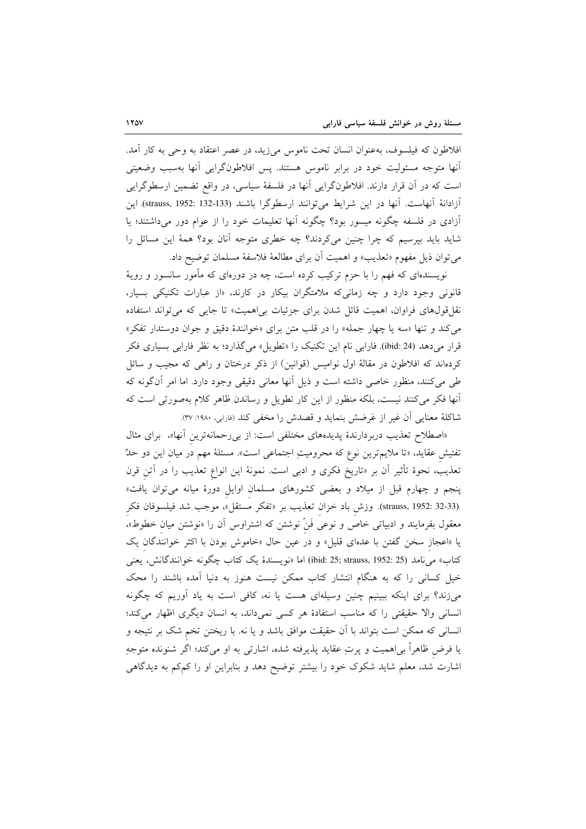افلاطون كه فيلسوف، بهعنوان انسان تحت ناموس مىزيد، در عصر اعتقاد به وحى به كار آمد. أنها متوجه مسئوليت خود در برابر ناموس هستند. يس افلاطونگرايي آنها بهسبب وضعيتي است که در آن قرار دارند. افلاطونگرایی آنها در فلسفهٔ سیاسی، در واقع تضمین ارسطوگرایی آزادانهٔ آنهاست. آنها در این شرایط میتوانند ارسطوگرا باشند (133-132 :132x5)strauss, این آزادی در فلسفه چگونه میسور بود؟ چگونه آنها تعلیمات خود را از عوام دور میداشتند؛ یا شاید باید بیرسیم که چرا چنین میکردند؟ چه خطری متوجه آنان بود؟ همهٔ این مسائل را مي توان ذيل مفهوم «تعذيب» و اهميت أن براي مطالعهٔ فلاسفهٔ مسلمان توضيح داد.

نویسندهای که فهم را با حزم ترکیب کرده است، چه در دورهای که مأمور سانسور و رویهٔ قانونی وجود دارد و چه زمانی که ملامتگران بیکار در کارند، «از عبارات تکنیکی بسیار، نقل قولهای فراوان، اهمیت قائل شدن برای جزئیات بی اهمیت» تا جای<sub>د</sub> که می تواند استفاده مي كند و تنها «سه يا چهار جمله» را در قلب متن براي «خوانندهٔ دقيق و جوان دوستدار تفكر» قرار میدهد (ibid: 24). فارابی نام این تکنیک را «تطویل» میگذارد؛ به نظر فارابی بسیاری فکر کردهاند که افلاطون در مقالهٔ اول نوامیس (قوانین) از ذکر درختان و راهی که مجیب و سائل طی میکنند، منظور خاصی داشته است و ذیل آنها معانی دقیقی وجود دارد. اما امر آنگونه که آنها فکر میکنند نیست، بلکه منظور از این کار تطویل و رساندن ظاهر کلام بهصورتی است که شاكلهٔ معنايي آن غير از غرضش بنمايد و قصدش را مخفى كند (فارابي، ١٩٨٠: ٣٧).

«اصطلاح تعذیب دربردارندهٔ پدیدههای مختلفی است: از بی رحمانهترین آنها»، برای مثال تفتیش عقاید، «تا ملایم ترین نوع که محرومیتِ اجتماعی است». مسئلهٔ مهم در میان این دو حلٌّ تعذیب، نحوهٔ تأثیر آن بر «تاریخ فکری و ادبی است. نمونهٔ این انواع تعذیب را َدر اَتن قرن پنجم و چهارم قبل از میلاد و بعضی کشورهای مسلمان اوایل دورهٔ میانه میتوان یافت» .(strauss, 1952: 32-33). وزش باد خزان تعذيب بر «تفكر مستقل»، موجب شد فيلسوفان فكر معقول بفرمایند و ادبیاتی خاص و نوعی فَنّ نوشتن که اشتراوس آن را «نوشتن میان خطوط»، یا «اعجاز سخن گفتن با عدهای قلیل» و در عین حال «خاموش بودن با اکثر خوانندگان یک كتاب» مي نامد (25 :1952 ;35 trauss, 1952) اما «نويسندهٔ يک كتاب چگونه خوانندگانش، يعني خیل کسانی را که به هنگام انتشار کتاب ممکن نیست هنوز به دنیا آمده باشند را محک میزند؟ برای اینکه ببینیم چنین وسیلهای هست یا نه، کافی است به یاد آوریم که چگونه انسانی والا حقیقتی را که مناسب استفادهٔ هر کسی نمیداند، به انسان دیگری اظهار میکند؛ انسانی که ممکن است بتواند با آن حقیقت موافق باشد و یا نه. با ریختن تخم شک بر نتیجه و یا فرض ظاهراً بی|همیت و پرتِ عقاید پذیرفته شده، اشارتی به او میکند؛ اگر شنونده متوجهِ اشارت شد، معلم شاید شکوک خود را بیشتر توضیح دهد و بنابراین او را کمکم به دیدگاهی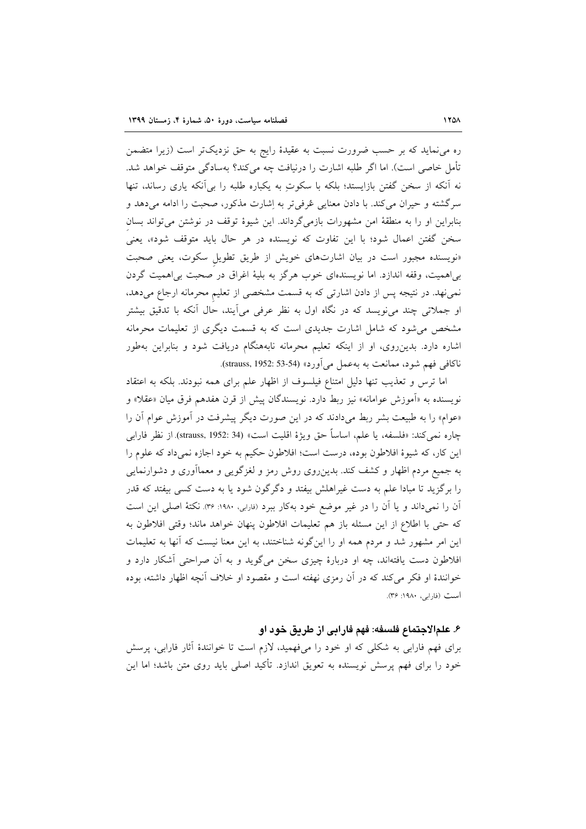ره می نماید که بر حسب ضرورت نسبت به عقیدهٔ رایج به حق نزدیکتر است (زیرا متضمن تأمل خاصی است). اما اگر طلبه اشارت را درنیافت چه میکند؟ بهسادگی متوقف خواهد شد. نه آنکه از سخن گفتن بازایستد؛ بلکه با سکوتِ به یکباره طلبه را بی آنکه یاری رساند، تنها سرگشته و حيران مي كند. با دادن معنايي عُرفي تر به إشارت مذكور، صحبت را ادامه مي دهد و بنابراین او را به منطقهٔ امن مشهورات بازمی گرداند. این شیوهٔ توقف در نوشتن می تواند بسان سخن گفتن اعمال شود؛ با این تفاوت که نویسنده در هر حال باید متوقف شود»، یعنی «نویسنده مجبور است در بیان اشارتهای خویش از طریق تطویل سکوت، یعنی صحبت بی اهمیت، وقفه اندازد. اما نویسندهای خوب هرگز به بلیهٔ اغراق در صحبت بی اهمیت گردن نمی،فهد. در نتیجه پس از دادن اشارتی که به قسمت مشخصی از تعلیم محرمانه ارجاع میدهد، او جملاتی چند می نویسد که در نگاه اول به نظر عرفی می آیند، حال آنکه با تدقیق بیشتر مشخص می شود که شامل اشارت جدیدی است که به قسمت دیگری از تعلیمات محرمانه اشاره دارد. بدین٫وی، او از اینکه تعلیم محرمانه نابههنگام دریافت شود و بنابراین بهطور ناكافي فهم شود، ممانعت به به عمل مي أورد» (54-53 :592 strauss, 1952).

اما ترس و تعذيب تنها دليل امتناع فيلسوف از اظهار علم براي همه نبودند. بلكه به اعتقاد نويسنده به «آموزش عوامانه» نيز ربط دارد. نويسندگان پيش از قرن هفدهم فرق ميان «عقلا» و «عوام» را به طبیعت بشر ربط میدادند که در این صورت دیگر پیشرفت در آموزش عوام آن را چاره نمي كند: «فلسفه، يا علم، اساساً حق ويژهٔ اقليت است» (34 :strauss, 1952) از نظر فارابي این کار، که شیوهٔ افلاطون بوده، درست است؛ افلاطون حکیم به خود اجازه نمیداد که علوم را به جمیع مردم اظهار و کشف کند. بدینِ روی روش رمز و لغزگویی و معماآوری و دشوارنمایی را برگزید تا مبادا علم به دست غیراهلش بیفتد و دگرگون شود یا به دست کسی بیفتد که قدر آن را نمیداند و یا آن را در غیر موضع خود بهکار ببرد (فارابی، ۱۹۸۰: ۳۶). نکتهٔ اصلی این است كه حتى با اطلاع از اين مسئله باز هم تعليمات افلاطون پنهان خواهد ماند؛ وقتى افلاطون به این امر مشهور شد و مردم همه او را اینگونه شناختند، به این معنا نیست که آنها به تعلیمات افلاطون دست یافتهاند، چه او دربارهٔ چیزی سخن میگوید و به آن صراحتی آشکار دارد و خوانندهٔ او فکر میکند که در آن رمزی نهفته است و مقصود او خلاف آنچه اظهار داشته، بوده است (فارابی، ۱۹۸۰: ۳۶).

## ۶. علمالاجتماع فلسفه: فهم فارابي از طريق خود او

برای فهم فارابی به شکلی که او خود را میفهمید، لازم است تا خوانندهٔ آثار فارابی، پرسش خود را برای فهم پرسش نویسنده به تعویق اندازد. تأکید اصلی باید روی متن باشد؛ اما این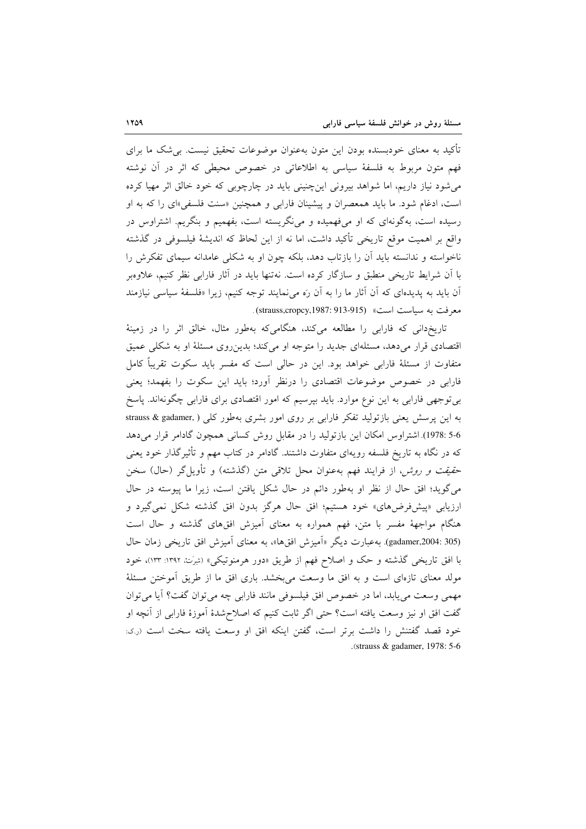تأکید به معنای خودبسنده بودن این متون بهعنوان موضوعات تحقیق نیست. بی شک ما برای فهم متون مربوط به فلسفهٔ سیاسی به اطلاعاتی در خصوص محیطی که اثر در آن نوشته می شود نیاز داریم، اما شواهد بیرونی این چنینی باید در چارچوبی که خود خالق اثر مهیا کرده است، ادغام شود. ما باید همعصران و پیشینان فارابی و همچنین «سنت فلسفی»ای را که به او رسیده است، بهگونهای که او میفهمیده و می نگریسته است، بفهمیم و بنگریم. اشتراوس در واقع بر اهميت موقع تاريخي تأكيد داشت، اما نه از اين لحاظ كه انديشهٔ فيلسوفي در گذشته ناخواسته و ندانسته باید آن را بازتاب دهد، بلکه چون او به شکلی عامدانه سیمای تفکرش را با آن شرایط تاریخی منطبق و سازگار کرده است. نهتنها باید در آثار فارابی نظر کنیم، علاوهبر آن باید به پدیدهای که آن آثار ما را به آن رَه میiمایند توجه کنیم، زیرا «فلسفهٔ سیاسی نیازمند مع فت به سياست است» (strauss,cropcy,1987: 913-915).

تاریخدانی که فارابی را مطالعه میکند، هنگامیکه بهطور مثال، خالق اثر را در زمینهٔ اقتصادی قرار میدهد، مسئلهای جدید را متوجه او میکند؛ بدین روی مسئلهٔ او به شکلی عمیق متفاوت از مسئلهٔ فارابی خواهد بود. این در حالی است که مفسر باید سکوت تقریباً کامل فارابی در خصوص موضوعات اقتصادی را درنظر آورد؛ باید این سکوت را بفهمد؛ یعنی بی توجهی فارابی به این نوع موارد. باید بپرسیم که امور اقتصادی برای فارابی چگونهاند. پاسخ به این پرسش یعنی بازتولید تفکر فارابی بر روی امور بشری بهطور کلی ( ,strauss & gadamer 5-6 :1978). اشتراوس امکان این بازتولید را در مقابل روش کسانی همچون گادامر قرار میدهد که در نگاه به تاریخ فلسفه رویهای متفاوت داشتند. گادامر در کتاب مهم و تأثیر گذار خود یعنی ح*قیقت و روش،* از فرایند فهم بهعنوان محل تلاقی متن (گذشته) و تأویل¢ر (حال) سخن می گوید؛ افق حال از نظر او بهطور دائم در حال شکل یافتن است، زیرا ما پیوسته در حال ارزیابی «پیشفرضهای» خود هستیم؛ افق حال هرگز بدون افق گذشته شکل نمی گیرد و هنگام مواجههٔ مفسر با متن، فهم همواره به معنای آمیزش افقهای گذشته و حال است (gadamer,2004: 305). به عبارت دیگر «آمیزش افقها»، به معنای آمیزش افق تاریخی زمان حال با افق تاریخی گذشته و حک و اصلاح فهم از طریق «دور هرمنوتیکی» (شِرَتْ، ۱۳۹۲: ۱۳۳)، خود مولد معنای تازهای است و به افق ما وسعت می بخشد. باری افق ما از طریق آموختن مسئلهٔ مهمی وسعت می یابد، اما در خصوص افق فیلسوفی مانند فارابی چه می توان گفت؟ آیا می توان گفت افق او نیز وسعت یافته است؟ حتبی اگر ثابت کنیم که اصلاح شدهٔ آموزهٔ فارابی از آنچه او خود قصد گفتنش را داشت برتر است، گفتن اینکه افق او وسعت یافته سخت است (ر.ی: .(strauss & gadamer, 1978:  $5-6$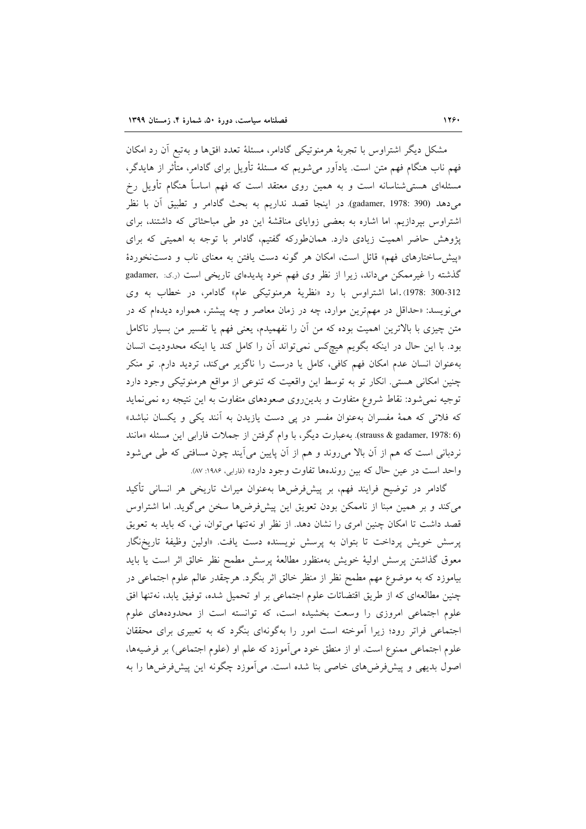مشکل دیگر اشتراوس با تجربهٔ هرمنوتیکی گادامر، مسئلهٔ تعدد افقها و بهتبع آن رد امکان فهم ناب هنگام فهم متن است. یادآور می شویم که مسئلهٔ تأویل برای گادامر، متأثر از هایدگر، مسئلهای هستی شناسانه است و به همین روی معتقد است که فهم اساساً هنگام تأویل رخ میدهد (gadamer, 1978: 390). در اینجا قصد نداریم به بحث گادامر و تطبیق آن با نظر اشتراوس بپردازیم. اما اشاره به بعضی زوایای مناقشهٔ این دو طی مباحثاتی که داشتند، برای یژوهش حاضر اهمیت زیادی دارد. همانطورکه گفتیم، گادامر با توجه به اهمیتی که برای «پیش ساختارهای فهم» قائل است، امکان هر گونه دست یافتن به معنای ناب و دستنخوردهٔ گذشته را غیرممکن می داند، زیرا از نظر وی فهم خود پدیدهای تاریخی است (رک: ,gadamer 312-1978: 300). اما اشتراوس با رد «نظرية هرمنوتيكي عام» گادامر، در خطاب به وي می نویسد: «حداقل در مهم ترین موارد، چه در زمان معاصر و چه پیشتر، همواره دیدهام که در متن چیزی با بالاترین اهمیت بوده که من آن را نفهمیدم، یعنی فهم یا تفسیر من بسیار ناکامل بود. با این حال در اینکه بگویم هیچکس نمیتواند اَن را کامل کند یا اینکه محدودیت انسان بهعنوان انسان عدم امکان فهم کافی، کامل یا درست را ناگزیر میکند، تردید دارم. تو منکر چنین امکانی هستی. انکار تو به توسط این واقعیت که تنوعی از مواقع هرمنوتیکی وجود دارد توجیه نمی شود: نقاط شروع متفاوت و بدین روی صعودهای متفاوت به این نتیجه ره نمی نماید که فلاتی که همهٔ مفسران بهعنوان مفسر در یی دست یازیدن به آنند یکی و یکسان نباشد» (strauss & gadamer, 1978: 6). به عبارت دیگر، با وام گرفتن از جملات فارابی این مسئله «مانند نردبانی است که هم از آن بالا میروند و هم از آن پایین میآیند چون مسافتی که طی میشود واحد است در عین حال که بین روندهها تفاوت وجود دارد» (فارابی، ۱۹۸۶: ۸۷).

گادامر در توضیح فرایند فهم، بر پیشفرضها بهعنوان میراث تاریخی هر انسانی تأکید می کند و بر همین مبنا از ناممکن بودن تعویق این پیشفرضها سخن میگوید. اما اشتراوس قصد داشت تا امکان چنین امری را نشان دهد. از نظر او نهتنها میتوان، نی، که باید به تعویق پرسش خویش پرداخت تا بتوان به پرسش نویسنده دست یافت. «اولین وظیفهٔ تاریخ،گار معوق گذاشتن يرسش اوليهٔ خويش بهمنظور مطالعهٔ پرسش مطمح نظر خالق اثر است يا بايد بیاموزد که به موضوع مهم مطمح نظر از منظر خالق اثر بنگرد. هرچقدر عالم علوم اجتماعی در چنین مطالعهای که از طریق اقتضائات علوم اجتماعی بر او تحمیل شده، توفیق یابد، نهتنها افق علوم اجتماعی امروزی را وسعت بخشیده است، که توانسته است از محدودههای علوم اجتماعی فراتر رود؛ زیرا آموخته است امور را بهگونهای بنگرد که به تعبیری برای محققان علوم اجتماعی ممنوع است. او از منطق خود میآموزد که علم او (علوم اجتماعی) بر فرضیهها، اصول بدیهی و پیشفرضهای خاصی بنا شده است. میآموزد چگونه این پیشفرضها را به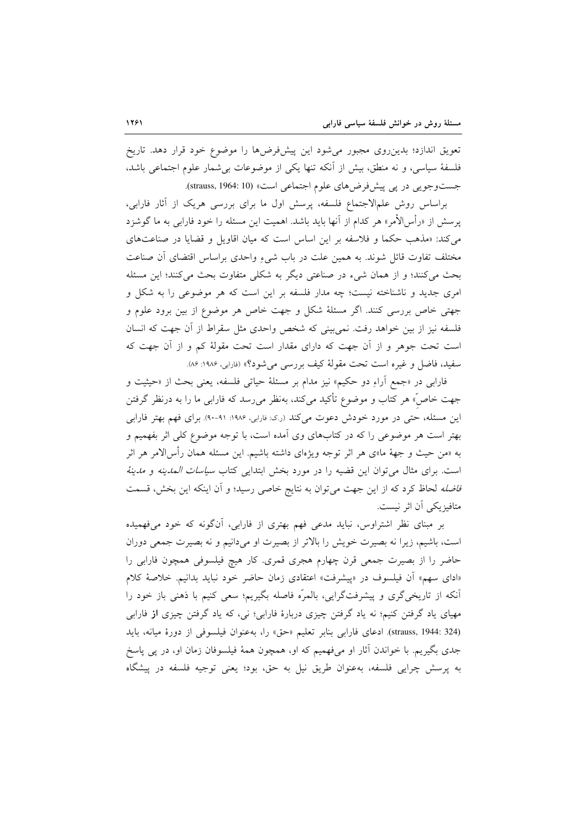تعویق اندازد؛ بدین٫وی مجبور می٫شود این پیشفرض۵ا را موضوع خود قرار دهد. تاریخ فلسفهٔ سیاسی، و نه منطق، بیش از آنکه تنها یکی از موضوعات بی شمار علوم اجتماعی باشد، جست وجويي در پي پيش فرض هاي علوم اجتماعي است» (strauss, 1964: 10).

براساس روش علمالاجتماع فلسفه، پرسش اول ما برای بررسی هریک از آثار فارابی، پرسش از «رأس|لأمر» هر كدام از آنها بايد باشد. اهميت اين مسئله را خود فاراب<sub>ی</sub> به ما گوشزد می کند: «مذهب حکما و فلاسفه بر این اساس است که میان اقاویل و قضایا در صناعتهای مختلف تفاوت قائل شوند. به همین علت در باب شیءِ واحدی براساس اقتضای آن صناعت بحث می کنند؛ و از همان شیء در صناعتی دیگر به شکلی متفاوت بحث میکنند؛ این مسئله امری جدید و ناشناخته نیست؛ چه مدار فلسفه بر این است که هر موضوعی را به شکل و جهتي خاص بررسي کنند. اگر مسئلهٔ شکل و جهت خاص هر موضوع از بين برود علوم و فلسفه نیز از بین خواهد رفت. نمی بینی که شخص واحدی مثل سقراط از آن جهت که انسان است تحت جوهر و از اّن جهت که دارای مقدار است تحت مقولهٔ کم و از اّن جهت که سفيد، فاضل و غيره است تحت مقولة كيف بررسي مي شود؟» (فارابي، ١٩٨۶: ٨۶).

فارابي در «جمع آراءِ دو حكيم» نيز مدام بر مسئلة حياتي فلسفه، يعني بحث از «حيثيت و جهت خاصٌ» هر کتاب و موضوع تأکید میکند، بهنظر میرسد که فارابی ما را به درنظر گرفتن این مسئله، حتی در مورد خودش دعوت میکند (ر.ک: فارابی، ۱۹۸۶: ۹۱-۹۰). برای فهم بهتر فارابی بهتر است هر موضوعی را که در کتابهای وی اَمده است، با توجه موضوع کلی اثر بفهمیم و به «من حیث و جههٔ ما»ی هر اثر توجه ویژهای داشته باشیم. این مسئله همان رأسالامر هر اثر است. براى مثال مى توان اين قضيه را در مورد بخش ابتدايى كتاب *سياسات المدينه و مدينة فاضله* لحاظ کرد که از این جهت می توان به نتایج خاصی رسید؛ و أن اینکه این بخش، قسمت متافيزيكي آن اثر نيست.

بر مبنای نظر اشتراوس، نباید مدعی فهم بهتری از فارابی، آنگونه که خود میفهمیده است، باشیم، زیرا نه بصیرت خویش را بالاتر از بصیرت او میدانیم و نه بصیرت جمعی دوران حاضر را از بصیرت جمعی قرن چهارم هجری قمری. کار هیچ فیلسوفی همچون فارابی را «ادای سهم» آن فیلسوف در «پیشرفت» اعتقادی زمان حاضر خود نباید بدانیم. خلاصهٔ کلام آنکه از تاریخیگری و پیشرفتگرایی، بالمرّه فاصله بگیریم؛ سعی کنیم با ذهنی باز خود را مهیای یاد گرفتن کنیم؛ نه یاد گرفتن چیزی دربارهٔ فارابی؛ نی، که یاد گرفتن چیزی از فارابی (strauss, 1944: 324). ادعاى فارابي بنابر تعليم «حق» را، بهعنوان فيلسوفي از دورة ميانه، بايد جدی بگیریم. با خواندن آثار او میفهمیم که او، همچون همهٔ فیلسوفان زمان او، در پی پاسخ به پرسش چرایی فلسفه، بهعنوان طریق نیل به حق، بود؛ یعنی توجیه فلسفه در پیشگاه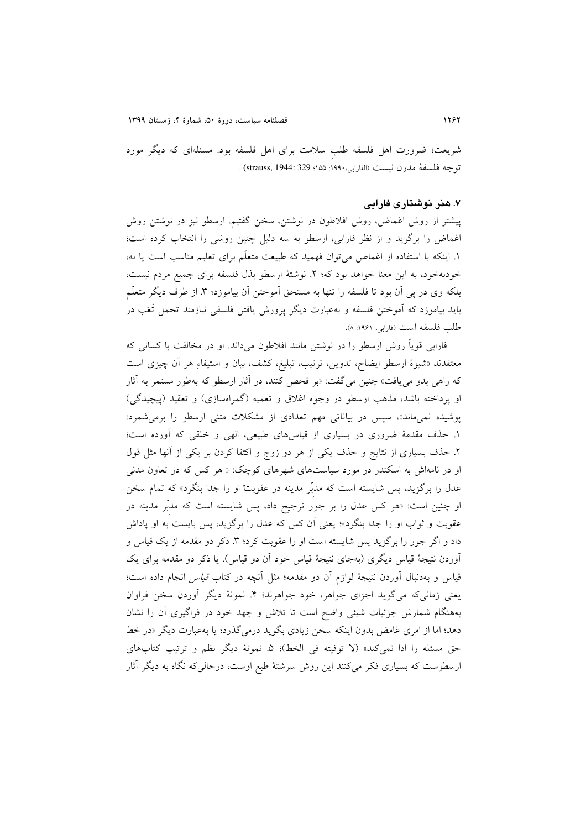شریعت؛ ضرورت اهل فلسفه طلب سلامت برای اهل فلسفه بود. مسئلهای که دیگر مورد توجه فلسفة مدرن نيست (الفارابي،١٩٩٠: ١٥٥؛ strauss, 1944: 329) .

#### ۷. هنر نوشتاری فارایی

پیشتر از روش اغماض، روش افلاطون در نوشتن، سخن گفتیم. ارسطو نیز در نوشتن روش اغماض را برگزید و از نظر فارابی، ارسطو به سه دلیل چنین روشی را انتخاب کرده است؛ ١. اينكه با استفاده از اغماض مي توان فهميد كه طبيعت متعلّم براي تعليم مناسب است يا نه، خودبهخود، به این معنا خواهد بود که؛ ۲. نوشتهٔ ارسطو بذل فلسفه برای جمیع مردم نیست، بلکه وی در پی آن بود تا فلسفه را تنها به مستحق آموختن آن بیاموزد؛ ۳. از طرف دیگر متعلّم بايد بياموزد كه آموختن فلسفه و بهعبارت ديگر پرورش يافتن فلسفي نيازمند تحمل تَعَب در طلب فلسفه است (فارابي، ١٩۶١: ٨).

فارابی قویاً روش ارسطو را در نوشتن مانند افلاطون میداند. او در مخالفت با کسانی که معتقدند «شیوهٔ ارسطو ایضاح، تدوین، ترتیب، تبلیغ، کشف، بیان و استیفاءِ هر آن چیزی است که راهی بدو می یافت» چنین می گفت: «بر فحص کنند، در آثار ارسطو که بهطور مستمر به آثار او پرداخته باشد، مذهب ارسطو در وجوه اغلاق و تعمیه (گمراهسازی) و تعقید (پیچیدگی) پوشیده نمیماند»، سیس در بیاناتی مهم تعدادی از مشکلات متنی ارسطو را برمیشمرد: ۱. حذف مقدمهٔ ضروری در بسیاری از قیاسهای طبیعی، الهی و خلقی که أورده است؛ ۲. حذف بسیاری از نتایج و حذف یکی از هر دو زوج و اکتفا کردن بر یکی از آنها مثل قول او در نامهاش به اسکندر در مورد سیاستهای شهرهای کوچک: « هر کس که در تعاون مدنی عدل را برگزید، پس شایسته است که مدبّر مدینه در عقوبتْ او را جدا بنگرد» که تمام سخن او چنین است: «هر کس عدل را بر جور ترجیح داد، پس شایسته است که مدبّر مدینه در عقوبت و ثواب او را جدا بنگرد»؛ یعنی آن کس که عدل را برگزید، پس بایست به او پاداش داد و اگر جور را برگزید پس شایسته است او را عقوبت کرد؛ ۳. ذکر دو مقدمه از یک قیاس و آوردن نتیجهٔ قیاس دیگری (بهجای نتیجهٔ قیاس خود آن دو قیاس). یا ذکر دو مقدمه برای یک قیاس و بهدنبال آوردن نتیجهٔ لوازم آن دو مقدمه؛ مثل آنچه در کتاب *قیاس* انجام داده است؛ یعنی زمانیکه می گوید اجزای جواهر، خود جواهرند؛ ۴. نمونهٔ دیگر آوردن سخن فراوان بههنگام شمارش جزئیات شیئی واضح است تا تلاش و جهد خود در فراگیری آن را نشان دهد؛ اما از امری غامض بدون اینکه سخن زیادی بگوید درمیگذرد؛ یا بهعبارت دیگر «در خط حق مسئله را ادا نمي كند» (لا توفيته في الخط)؛ ۵. نمونهٔ ديگر نظم و ترتيب كتابهاي ارسطوست که بسیاری فکر می کنند این روش سرشتهٔ طبع اوست، درحالی که نگاه به دیگر آثار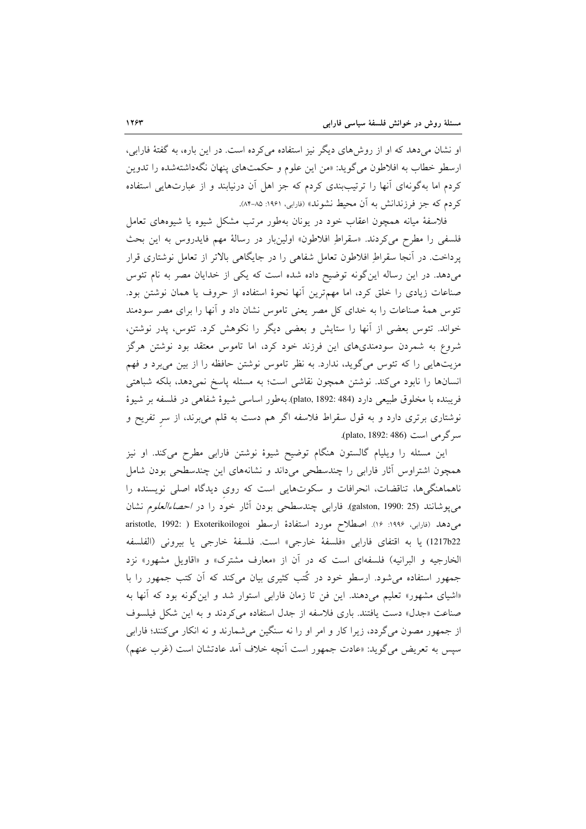او نشان میدهد که او از روش های دیگر نیز استفاده می کرده است. در این باره، به گفتهٔ فارابی، ارسطو خطاب به افلاطون می گوید: «من این علوم و حکمتهای پنهان نگهداشتهشده را تدوین کردم اما بهگونهای آنها را ترتیببندی کردم که جز اهل آن درنیابند و از عبارتهایی استفاده كردم كه جز فرزندانش به آن محيط نشوند» (فارابي، ۱۹۶۱: ۸۵-۸۴).

فلاسفهٔ میانه همچون اعقاب خود در یونان بهطور مرتب مشکل شیوه یا شیوههای تعامل فلسفی را مطرح میکردند. «سقراطِ افلاطون» اولینبار در رسالهٔ مهم فایدروس به این بحث پرداخت. در آنجا سقراطِ افلاطون تعامل شفاهی را در جایگاهی بالاتر از تعامل نوشتاری قرار میدهد. در این رساله این گونه توضیح داده شده است که یکی از خدایان مصر به نام تئوس صناعات زیادی را خلق کرد، اما مهمترین أنها نحوهٔ استفاده از حروف یا همان نوشتن بود. تئوس همهٔ صناعات را به خدای کل مصر یعنی تاموس نشان داد و آنها را برای مصر سودمند خواند. تئوس بعضی از آنها را ستایش و بعضی دیگر را نکوهش کرد. تئوس، پدر نوشتن، شروع به شمردن سودمندیهای این فرزند خود کرد، اما تاموس معتقد بود نوشتن هرگز مزیتهایی را که تئوس میگوید، ندارد. به نظر تاموس نوشتن حافظه را از بین میبرد و فهم انسانها را نابود می کند. نوشتن همچون نقاشی است؛ به مسئله پاسخ نمی دهد، بلکه شباهتی فريبنده با مخلوق طبيعي دارد (184: plato, 1892). بهطور اساسي شيوة شفاهي در فلسفه بر شيوة نوشتاری برتری دارد و به قول سقراط فلاسفه اگر هم دست به قلم میبرند، از سر تفریح و سرگرمی است (1892: 486).

این مسئله را ویلیام گالستون هنگام توضیح شیوهٔ نوشتن فارابی مطرح میکند. او نیز همچون اشتراوس آثار فارابی را چندسطحی میداند و نشانههای این چندسطحی بودن شامل ناهماهنگیها، تناقضات، انحرافات و سکوتهایی است که روی دیدگاه اصلی نویسنده را مي يوشانند (galston, 1990: 25). فارابي چندسطحي بودن آثار خود را در *احصاءالعلوم* نشان می دهد (فارابی، ۱۹۹۶: ۱۶). اصطلاح مورد استفادهٔ ارسطو aristotle, 1992: ) Exoterikoilogoi 1217b22) يا به اقتفاى فارابي «فلسفة خارجي» است. فلسفة خارجي يا بيروني (الفلسفه الخارجيه و البرانيه) فلسفهاي است كه در آن از «معارف مشترك» و «اقاويل مشهور» نزد جمهور استفاده می شود. ارسطو خود در کُتب کثیری بیان می کند که آن کتب جمهور را با «اشیای مشهور» تعلیم میدهند. این فن تا زمان فارابی استوار شد و این گونه بود که آنها به صناعت «جدل» دست یافتند. باری فلاسفه از جدل استفاده می کردند و به این شکل فیلسوف از جمهور مصون میگردد، زیرا کار و امر او را نه سنگین میشمارند و نه انکار میکنند؛ فارابی سپس به تعریض میگوید: «عادت جمهور است اّنچه خلاف اّمد عادتشان است (غرب عنهم)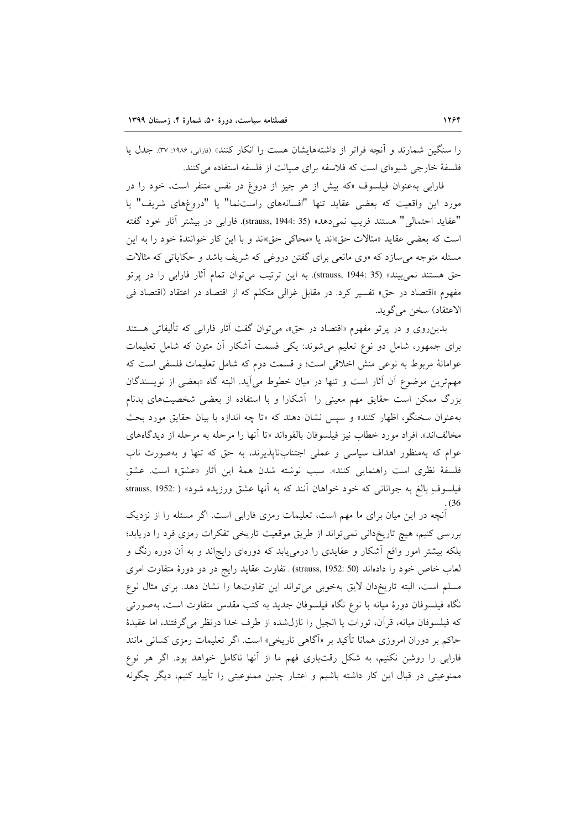را سنگین شمارند و آنچه فراتر از داشتههایشان هست را انکار کنند» (فاربی، ۱۹۸۶: ۳۷). جدل یا فلسفهٔ خارجی شیوهای است که فلاسفه برای صیانت از فلسفه استفاده می کنند.

فارابی به عنوان فیلسوف «که بیش از هر چیز از دروغ در نفس متنفر است، خود را در مورد این واقعیت که بعضی عقاید تنها "افسانههای راستنما" یا "دروغهای شریف" یا "عقايد احتمالي" هستند فريب نمي دهد» (strauss, 1944: 35). فارابي در بيشتر آثار خود گفته است كه بعضى عقايد «مثالات حق»اند يا «محاكي حق»اند و با اين كار خوانندهٔ خود را به اين مسئله متوجه می سازد که «وی مانعی برای گفتن دروغی که شریف باشد و حکایاتی که مثالات حق هستند نمي بيند» (strauss, 1944: 35). به اين ترتيب مي توان تمام أثار فارابي را در پرتو مفهوم «اقتصاد در حق» تفسیر کرد. در مقابل غزالی متکلم که از اقتصاد در اعتقاد (اقتصاد فی الاعتقاد) سخن مي گويد.

بدین روی و در پرتو مفهوم «اقتصاد در حق»، می توان گفت آثار فارابی که تألیفاتی هستند برای جمهور، شامل دو نوع تعلیم میشوند: یکی قسمت أشکار أن متون که شامل تعلیمات عوامانهٔ مربوط به نوعی منش اخلاقی است؛ و قسمت دوم که شامل تعلیمات فلسفی است که مهمترین موضوع آن آثار است و تنها در میان خطوط میlید. البته گاه «بعضی از نویسندگان بزرگ ممکن است حقایق مهم معینی را آشکارا و با استفاده از بعضی شخصیتهای بدنام بهعنوان سخنگو، اظهار کنند» و سیس نشان دهند که «تا چه اندازه با بیان حقایق مورد بحث مخالفاند». افراد مورد خطاب نيز فيلسوفان بالقوهاند «تا آنها را مرحله به مرحله از ديدگاههاى عوام که بهمنظور اهداف سیاسی و عملی اجتنابناپذیرند، به حق که تنها و بهصورت ناب فلسفة نظري است راهنمايي كنند». سبب نوشته شدن همة اين آثار «عشق» است. عشق فیلسوفِ بالغ به جوانانی که خود خواهان آنند که به آنها عشق ورزیده شود» ( :strauss, 1952

.<br>آنچه در این میان برای ما مهم است، تعلیمات رمزی فارابی است. اگر مسئله را از نزدیک بررسی کنیم، هیچ تاریخدانی نمیتواند از طریق موقعیت تاریخی تفکرات رمزی فرد را دریابد؛ بلکه بیشتر امور واقع آشکار و عقایدی را درمییابد که دورهای رایجاند و به آن دوره رنگ و لعاب خاص خود را دادهاند (strauss, 1952: 50) . تفاوت عقايد رايج در دو دورهٔ متفاوت امرى مسلم است، البته تاريخدان لايق بهخوبي مي تواند اين تفاوتها را نشان دهد. براى مثال نوع نگاه فیلسوفان دورهٔ میانه با نوع نگاه فیلسوفان جدید به کتب مقدس متفاوت است، بهصورتی كه فيلسوفان ميانه، قرآن، تورات يا انجيل را نازل شده از طرف خدا درنظر مى گرفتند، اما عقيدهٔ حاکم بر دوران امروزی همانا تأکید بر «آگاهی تاریخی» است. اگر تعلیمات رمزی کسانی مانند فارابی را روشن نکنیم، به شکل رقتباری فهم ما از آنها ناکامل خواهد بود. اگر هر نوع ممنوعيتي در قبال اين كار داشته باشيم و اعتبار چنين ممنوعيتي را تأييد كنيم، ديگر چگونه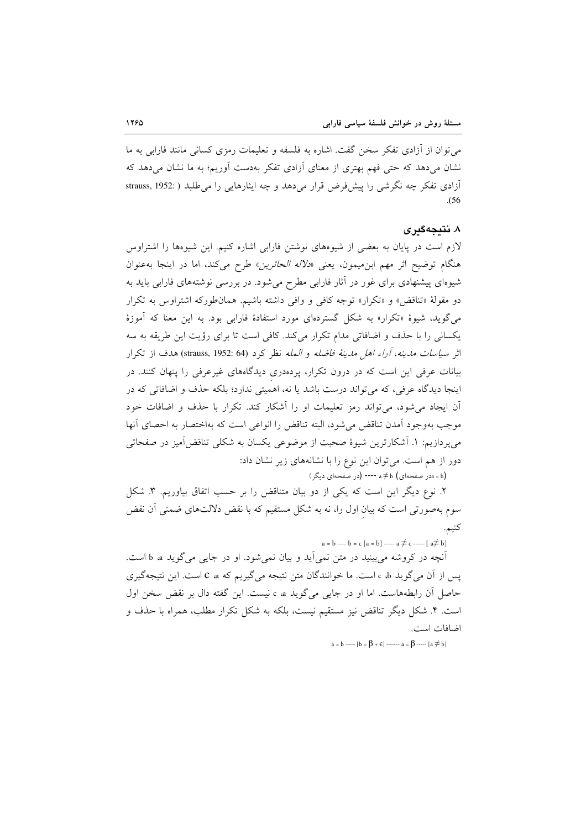می توان از آزادی تفکر سخن گفت. اشاره به فلسفه و تعلیمات رمزی کسانی مانند فارابی به ما نشان می دهد که حتی فهم بهتری از معنای آزادی تفکر بهدست آوریم؛ به ما نشان می دهد که آزادی تفکر چه نگرشی را پیشفرض قرار میدهد و چه ایثارهایی را می طلبد ( :strauss, 1952  $(56)$ 

#### ۸. نتیجهگیری

لازم است در پایان به بعضی از شیوههای نوشتن فارابی اشاره کنیم. این شیوهها را اشتراوس هنگام توضيح اثر مهم ابن ميمون، يعني «*دلاله الحائرين*» طرح مي كند، اما در اينجا به عنوان شیوهای پیشنهادی برای غور در آثار فارابی مطرح میشود. در بررسی نوشتههای فارابی باید به دو مقولهٔ «تناقض» و «تكرار» توجه كافي و وافي داشته باشيم. همان طوركه اشتراوس به تكرار میگوید، شیوهٔ «تکرار» به شکل گستردهای مورد استفادهٔ فارابی بود. به این معنا که آموزهٔ یکسانی را با حذف و اضافاتی مدام تکرار میکند. کافی است تا برای رؤیت این طریقه به سه اثر سي*اسات مدينه، آراء اهل مدينة فاضله و المله* نظر كرد (strauss, 1952: 64) هدف از تكرار بیانات عرفی این است که در درون تکرار، پردهدری دیدگاههای غیرعرفی را پنهان کنند. در اینجا دیدگاه عرفی، که می تواند درست باشد یا نه، اهمیتی ندارد؛ بلکه حذف و اضافاتی که در آن ایجاد می شود، می تواند رمز تعلیمات او را آشکار کند. تکرار با حذف و اضافات خود موجب بهوجود آمدن تناقض مى شود، البته تناقض را انواعى است كه بهاختصار به احصاى آنها می پردازیم: ١. آشکارترین شیوهٔ صحبت از موضوعی یکسان به شکلی تناقض آمیز در صفحاتی دور از هم است. می توان این نوع را با نشانههای زیر نشان داد:

(a = b در صفحهای) a ≠ b ---- (در صفحهای دیگر)

٢. نوع ديگر اين است كه يكي از دو بيان متناقض را بر حسب اتفاق بياوريم. ٣. شكل سوم بهصورتی است که بیان اول را، نه به شکل مستقیم که با نقض دلالتهای ضمنی اَن نقض كنيم.

 $a = b$  ----  $b = c$  [a = b] ----- a  $\neq$  c ----- [a $\neq$  b]

آنچه در کروشه می بینید در متن نمی آید و بیان نمی شود. او در جایی می گوید a b a است. يس از آن مي گويد c d است. ما خوانندگان متن نتيجه مي گيريم كه c a است. اين نتيجه گيري حاصل آن رابطههاست. اما او در جایبی می گوید c a نیست. این گفته دال بر نقض سخن اول است. ۴. شکل دیگر تناقض نیز مستقیم نیست، بلکه به شکل تکرار مطلب، همراه با حذف و اضافات است.

 $a = b$  -----  $[b = \beta + \epsilon]$  ------  $a = \beta$  -----  $[a \neq b]$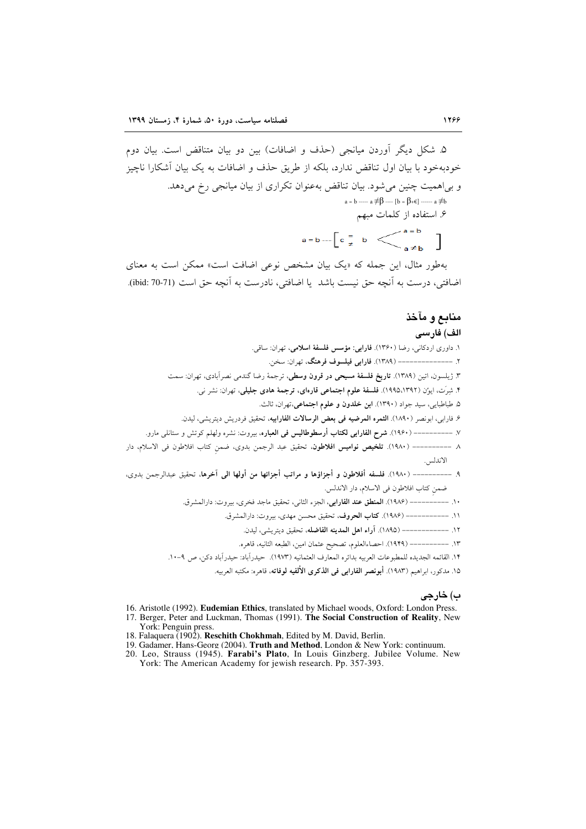.(ibid: 70-71)

# منا الف) فارسى

۱. داوری اردکانی، رضا (۱۳۶۰). فارابی: مؤسس فلسفهٔ اسلامی، تهران: ساقی. ٢. --------------- (١٣٨٩). فارابي فيلسوف فرهنگ، تهران: سخن. ۳. ژیلسون، اتین (۱۳۸۹). **تاریخ فلسفهٔ مسیحی در قرون وسطی**، ترجمهٔ رضا گندمی نصرآبادی، تهران: سمت ۴. شِرَت، ایوُن (۱۳۹۲،۱۹۹۵). ف<mark>لسفهٔ علوم اجتماعی قارەای، ترجمهٔ هادی جلیلی</mark>، تهران: نشر نی. ۵. طباطبايي، سيد جواد (١٣٩٠). ابن خلدون و علوم اجتماعي،تهران، ثالث. ۶. فارابی، ابونصر (۱۸۹۰). ا**لثمره المرضيه فی بعض الرسالات الفارابیه**، تحقیق فردریش دیتریشی، لیدن. ٧. ----------- (١٩۶٠). **شرح الفارابي لكتاب أرسطوطاليس في العباره**، بيروت: نشره ولهلم كوتش و ستانلي مارو. ٨ ---------- (١٩٨٠). **تلخيص نواميس افلاطون**، تحقيق عبد الرجمن بدوى، ضمن كتاب افلاطون في الاسلام، دار الاندلس.  $P.$  ----------- (١٩٨٠). فلسفه أفلاطون و أجزاؤها و مراتب أجزائها من أولها الى آخرها، تحقيق عبدالرجمن بدوى، ضمن كتاب افلاطون في الاسلام، دار الاندلس. ١٠. –––––––––– (١٩٨۶). **المنطق عند الفارابي**، الجزء الثاني، تحقيق ماجد فخرى، بيروت: دارالمشرق. ١١. ------------ (١٩٨۶). كتاب الحروف، تحقيق محسن مهدي، بيروت: دارالمشرق. ١٢. ------------ (١٨٩٥). آراء اهل المدينه الفاضله، تحقيق ديتريشي، ليدن. ١٣. ---------- (١٩٢٩). احصاءالعلوم، تصحيح عثمان امين، الطبعه الثانيه، قاهره. .<br>١۴. القائمه الجديده للمطبوعات العربيه بدائره المعارف العثمانيه (١٩٧٣). حيدراًباد: حيدراًباد دكن، ص ٩-١٠. ١۵. مدكور، ابراهيم (١٩٨٣). أ**بونصر الفارابي في الذكرى الألفيه لوفاته**، قاهره: مكتبه العربيه.

#### ب) خارجي

- 16. Aristotle (1992). Eudemian Ethics, translated by Michael woods, Oxford: London Press. 17. Berger, Peter and Luckman, Thomas (1991). The Social Construction of Reality, New York: Penguin press.
- 18. Falaquera (1902). Reschith Chokhmah, Edited by M. David, Berlin.
- 19. Gadamer, Hans-Georg (2004). Truth and Method, London & New York: continuum.
- 20. Leo, Strauss (1945). Farabi's Plato, In Louis Ginzberg. Jubilee Volume. New York: The American Academy for jewish research. Pp. 357-393.